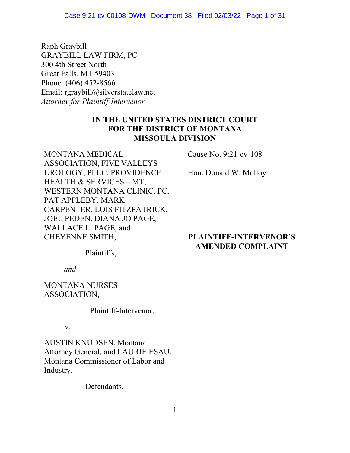Raph Graybill GRAYBILL LAW FIRM, PC 300 4th Street North Great Falls, MT 59403 Phone: (406) 452-8566 Email: rgraybill@silverstatelaw.net *Attorney for Plaintiff-Intervenor*

# **IN THE UNITED STATES DISTRICT COURT FOR THE DISTRICT OF MONTANA MISSOULA DIVISION**

MONTANA MEDICAL ASSOCIATION, FIVE VALLEYS UROLOGY, PLLC, PROVIDENCE HEALTH & SERVICES – MT, WESTERN MONTANA CLINIC, PC, PAT APPLEBY, MARK CARPENTER, LOIS FITZPATRICK, JOEL PEDEN, DIANA JO PAGE, WALLACE L. PAGE, and CHEYENNE SMITH,

Plaintiffs,

 *and*

MONTANA NURSES ASSOCIATION,

Plaintiff-Intervenor,

v.

AUSTIN KNUDSEN, Montana Attorney General, and LAURIE ESAU, Montana Commissioner of Labor and Industry,

Defendants.

Cause No. 9:21-cv-108

Hon. Donald W. Molloy

# **PLAINTIFF-INTERVENOR'S AMENDED COMPLAINT**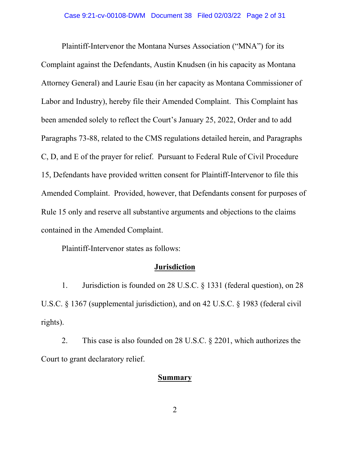Plaintiff-Intervenor the Montana Nurses Association ("MNA") for its Complaint against the Defendants, Austin Knudsen (in his capacity as Montana Attorney General) and Laurie Esau (in her capacity as Montana Commissioner of Labor and Industry), hereby file their Amended Complaint. This Complaint has been amended solely to reflect the Court's January 25, 2022, Order and to add Paragraphs 73-88, related to the CMS regulations detailed herein, and Paragraphs C, D, and E of the prayer for relief. Pursuant to Federal Rule of Civil Procedure 15, Defendants have provided written consent for Plaintiff-Intervenor to file this Amended Complaint. Provided, however, that Defendants consent for purposes of Rule 15 only and reserve all substantive arguments and objections to the claims contained in the Amended Complaint.

Plaintiff-Intervenor states as follows:

## **Jurisdiction**

1. Jurisdiction is founded on 28 U.S.C. § 1331 (federal question), on 28 U.S.C. § 1367 (supplemental jurisdiction), and on 42 U.S.C. § 1983 (federal civil rights).

2. This case is also founded on 28 U.S.C. § 2201, which authorizes the Court to grant declaratory relief.

#### **Summary**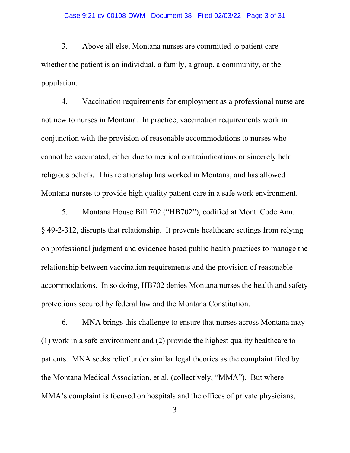3. Above all else, Montana nurses are committed to patient care whether the patient is an individual, a family, a group, a community, or the population.

4. Vaccination requirements for employment as a professional nurse are not new to nurses in Montana. In practice, vaccination requirements work in conjunction with the provision of reasonable accommodations to nurses who cannot be vaccinated, either due to medical contraindications or sincerely held religious beliefs. This relationship has worked in Montana, and has allowed Montana nurses to provide high quality patient care in a safe work environment.

5. Montana House Bill 702 ("HB702"), codified at Mont. Code Ann. § 49-2-312, disrupts that relationship. It prevents healthcare settings from relying on professional judgment and evidence based public health practices to manage the relationship between vaccination requirements and the provision of reasonable accommodations. In so doing, HB702 denies Montana nurses the health and safety protections secured by federal law and the Montana Constitution.

6. MNA brings this challenge to ensure that nurses across Montana may (1) work in a safe environment and (2) provide the highest quality healthcare to patients. MNA seeks relief under similar legal theories as the complaint filed by the Montana Medical Association, et al. (collectively, "MMA"). But where MMA's complaint is focused on hospitals and the offices of private physicians,

3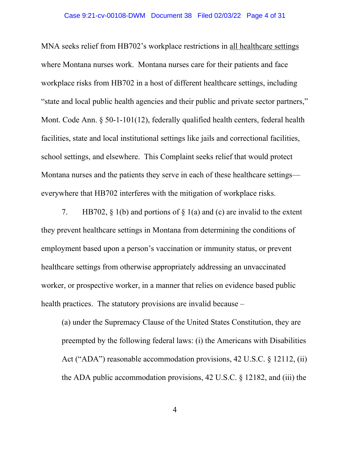MNA seeks relief from HB702's workplace restrictions in all healthcare settings where Montana nurses work. Montana nurses care for their patients and face workplace risks from HB702 in a host of different healthcare settings, including "state and local public health agencies and their public and private sector partners," Mont. Code Ann. § 50-1-101(12), federally qualified health centers, federal health facilities, state and local institutional settings like jails and correctional facilities, school settings, and elsewhere. This Complaint seeks relief that would protect Montana nurses and the patients they serve in each of these healthcare settings everywhere that HB702 interferes with the mitigation of workplace risks.

7. HB702,  $\S$  1(b) and portions of  $\S$  1(a) and (c) are invalid to the extent they prevent healthcare settings in Montana from determining the conditions of employment based upon a person's vaccination or immunity status, or prevent healthcare settings from otherwise appropriately addressing an unvaccinated worker, or prospective worker, in a manner that relies on evidence based public health practices. The statutory provisions are invalid because –

(a) under the Supremacy Clause of the United States Constitution, they are preempted by the following federal laws: (i) the Americans with Disabilities Act ("ADA") reasonable accommodation provisions, 42 U.S.C. § 12112, (ii) the ADA public accommodation provisions, 42 U.S.C. § 12182, and (iii) the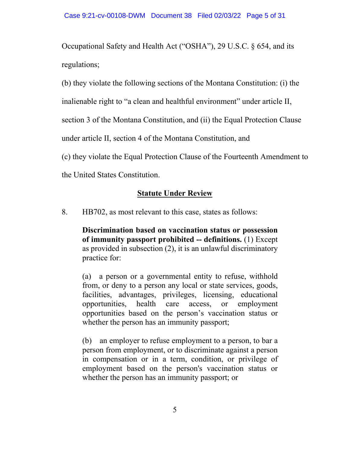Occupational Safety and Health Act ("OSHA"), 29 U.S.C. § 654, and its regulations;

(b) they violate the following sections of the Montana Constitution: (i) the

inalienable right to "a clean and healthful environment" under article II,

section 3 of the Montana Constitution, and (ii) the Equal Protection Clause

under article II, section 4 of the Montana Constitution, and

(c) they violate the Equal Protection Clause of the Fourteenth Amendment to

the United States Constitution.

# **Statute Under Review**

8. HB702, as most relevant to this case, states as follows:

**Discrimination based on vaccination status or possession of immunity passport prohibited -- definitions.** (1) Except as provided in subsection (2), it is an unlawful discriminatory practice for:

(a) a person or a governmental entity to refuse, withhold from, or deny to a person any local or state services, goods, facilities, advantages, privileges, licensing, educational opportunities, health care access, or employment opportunities based on the person's vaccination status or whether the person has an immunity passport;

(b) an employer to refuse employment to a person, to bar a person from employment, or to discriminate against a person in compensation or in a term, condition, or privilege of employment based on the person's vaccination status or whether the person has an immunity passport; or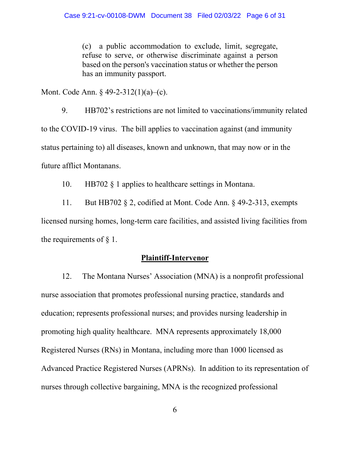(c) a public accommodation to exclude, limit, segregate, refuse to serve, or otherwise discriminate against a person based on the person's vaccination status or whether the person has an immunity passport.

Mont. Code Ann. § 49-2-312(1)(a)–(c).

9. HB702's restrictions are not limited to vaccinations/immunity related to the COVID-19 virus. The bill applies to vaccination against (and immunity status pertaining to) all diseases, known and unknown, that may now or in the future afflict Montanans.

10. HB702 § 1 applies to healthcare settings in Montana.

11. But HB702 § 2, codified at Mont. Code Ann. § 49-2-313, exempts licensed nursing homes, long-term care facilities, and assisted living facilities from the requirements of  $\S$  1.

## **Plaintiff-Intervenor**

12. The Montana Nurses' Association (MNA) is a nonprofit professional nurse association that promotes professional nursing practice, standards and education; represents professional nurses; and provides nursing leadership in promoting high quality healthcare. MNA represents approximately 18,000 Registered Nurses (RNs) in Montana, including more than 1000 licensed as Advanced Practice Registered Nurses (APRNs). In addition to its representation of nurses through collective bargaining, MNA is the recognized professional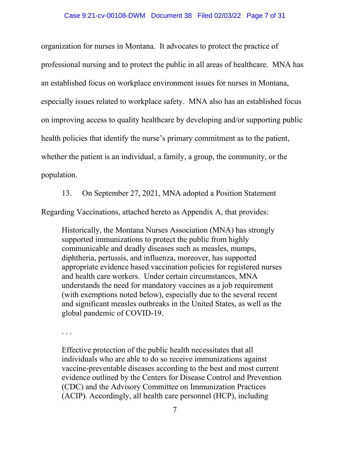organization for nurses in Montana. It advocates to protect the practice of professional nursing and to protect the public in all areas of healthcare. MNA has an established focus on workplace environment issues for nurses in Montana, especially issues related to workplace safety. MNA also has an established focus on improving access to quality healthcare by developing and/or supporting public health policies that identify the nurse's primary commitment as to the patient, whether the patient is an individual, a family, a group, the community, or the population.

13. On September 27, 2021, MNA adopted a Position Statement Regarding Vaccinations, attached hereto as Appendix A, that provides:

Historically, the Montana Nurses Association (MNA) has strongly supported immunizations to protect the public from highly communicable and deadly diseases such as measles, mumps, diphtheria, pertussis, and influenza, moreover, has supported appropriate evidence based vaccination policies for registered nurses and health care workers. Under certain circumstances, MNA understands the need for mandatory vaccines as a job requirement (with exemptions noted below), especially due to the several recent and significant measles outbreaks in the United States, as well as the global pandemic of COVID-19.

. . .

Effective protection of the public health necessitates that all individuals who are able to do so receive immunizations against vaccine-preventable diseases according to the best and most current evidence outlined by the Centers for Disease Control and Prevention (CDC) and the Advisory Committee on Immunization Practices (ACIP). Accordingly, all health care personnel (HCP), including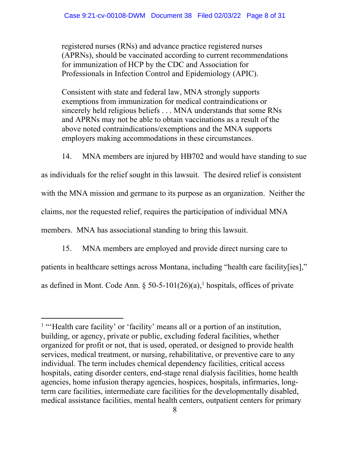registered nurses (RNs) and advance practice registered nurses (APRNs), should be vaccinated according to current recommendations for immunization of HCP by the CDC and Association for Professionals in Infection Control and Epidemiology (APIC).

Consistent with state and federal law, MNA strongly supports exemptions from immunization for medical contraindications or sincerely held religious beliefs . . . MNA understands that some RNs and APRNs may not be able to obtain vaccinations as a result of the above noted contraindications/exemptions and the MNA supports employers making accommodations in these circumstances.

14. MNA members are injured by HB702 and would have standing to sue

as individuals for the relief sought in this lawsuit. The desired relief is consistent with the MNA mission and germane to its purpose as an organization. Neither the claims, nor the requested relief, requires the participation of individual MNA members. MNA has associational standing to bring this lawsuit.

15. MNA members are employed and provide direct nursing care to patients in healthcare settings across Montana, including "health care facility[ies]," as defined in Mont. Code Ann. § 50-5-[1](#page-7-0)01(26)(a),<sup>1</sup> hospitals, offices of private

<span id="page-7-0"></span><sup>&</sup>lt;sup>1</sup> "Health care facility' or 'facility' means all or a portion of an institution, building, or agency, private or public, excluding federal facilities, whether organized for profit or not, that is used, operated, or designed to provide health services, medical treatment, or nursing, rehabilitative, or preventive care to any individual. The term includes chemical dependency facilities, critical access hospitals, eating disorder centers, end-stage renal dialysis facilities, home health agencies, home infusion therapy agencies, hospices, hospitals, infirmaries, longterm care facilities, intermediate care facilities for the developmentally disabled, medical assistance facilities, mental health centers, outpatient centers for primary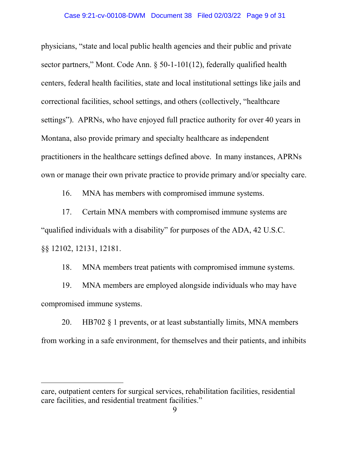#### Case 9:21-cv-00108-DWM Document 38 Filed 02/03/22 Page 9 of 31

physicians, "state and local public health agencies and their public and private sector partners," Mont. Code Ann. § 50-1-101(12), federally qualified health centers, federal health facilities, state and local institutional settings like jails and correctional facilities, school settings, and others (collectively, "healthcare settings"). APRNs, who have enjoyed full practice authority for over 40 years in Montana, also provide primary and specialty healthcare as independent practitioners in the healthcare settings defined above. In many instances, APRNs own or manage their own private practice to provide primary and/or specialty care.

16. MNA has members with compromised immune systems.

17. Certain MNA members with compromised immune systems are "qualified individuals with a disability" for purposes of the ADA, 42 U.S.C. §§ 12102, 12131, 12181.

18. MNA members treat patients with compromised immune systems.

19. MNA members are employed alongside individuals who may have compromised immune systems.

20. HB702 § 1 prevents, or at least substantially limits, MNA members from working in a safe environment, for themselves and their patients, and inhibits

care, outpatient centers for surgical services, rehabilitation facilities, residential care facilities, and residential treatment facilities."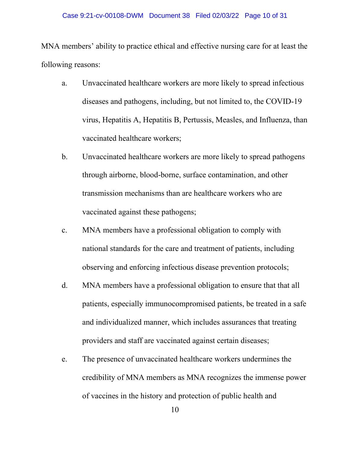#### Case 9:21-cv-00108-DWM Document 38 Filed 02/03/22 Page 10 of 31

MNA members' ability to practice ethical and effective nursing care for at least the following reasons:

- a. Unvaccinated healthcare workers are more likely to spread infectious diseases and pathogens, including, but not limited to, the COVID-19 virus, Hepatitis A, Hepatitis B, Pertussis, Measles, and Influenza, than vaccinated healthcare workers;
- b. Unvaccinated healthcare workers are more likely to spread pathogens through airborne, blood-borne, surface contamination, and other transmission mechanisms than are healthcare workers who are vaccinated against these pathogens;
- c. MNA members have a professional obligation to comply with national standards for the care and treatment of patients, including observing and enforcing infectious disease prevention protocols;
- d. MNA members have a professional obligation to ensure that that all patients, especially immunocompromised patients, be treated in a safe and individualized manner, which includes assurances that treating providers and staff are vaccinated against certain diseases;
- e. The presence of unvaccinated healthcare workers undermines the credibility of MNA members as MNA recognizes the immense power of vaccines in the history and protection of public health and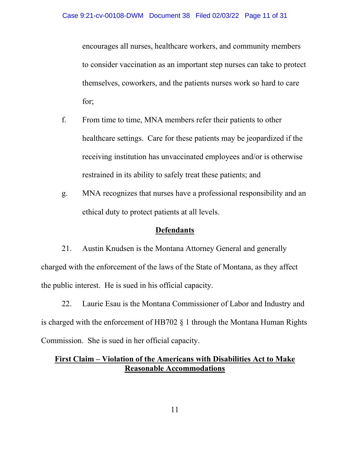encourages all nurses, healthcare workers, and community members to consider vaccination as an important step nurses can take to protect themselves, coworkers, and the patients nurses work so hard to care for;

- f. From time to time, MNA members refer their patients to other healthcare settings. Care for these patients may be jeopardized if the receiving institution has unvaccinated employees and/or is otherwise restrained in its ability to safely treat these patients; and
- g. MNA recognizes that nurses have a professional responsibility and an ethical duty to protect patients at all levels.

## **Defendants**

21. Austin Knudsen is the Montana Attorney General and generally charged with the enforcement of the laws of the State of Montana, as they affect the public interest. He is sued in his official capacity.

22. Laurie Esau is the Montana Commissioner of Labor and Industry and is charged with the enforcement of HB702 § 1 through the Montana Human Rights Commission. She is sued in her official capacity.

## **First Claim – Violation of the Americans with Disabilities Act to Make Reasonable Accommodations**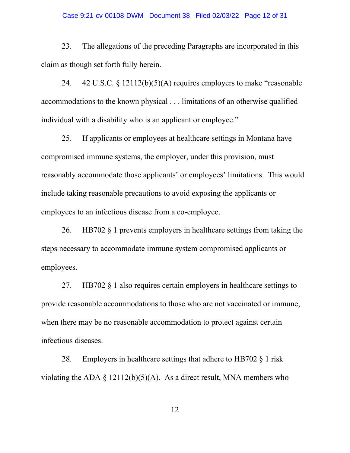#### Case 9:21-cv-00108-DWM Document 38 Filed 02/03/22 Page 12 of 31

23. The allegations of the preceding Paragraphs are incorporated in this claim as though set forth fully herein.

24. 42 U.S.C. § 12112(b)(5)(A) requires employers to make "reasonable accommodations to the known physical . . . limitations of an otherwise qualified individual with a disability who is an applicant or employee."

25. If applicants or employees at healthcare settings in Montana have compromised immune systems, the employer, under this provision, must reasonably accommodate those applicants' or employees' limitations. This would include taking reasonable precautions to avoid exposing the applicants or employees to an infectious disease from a co-employee.

26. HB702 § 1 prevents employers in healthcare settings from taking the steps necessary to accommodate immune system compromised applicants or employees.

27. HB702 § 1 also requires certain employers in healthcare settings to provide reasonable accommodations to those who are not vaccinated or immune, when there may be no reasonable accommodation to protect against certain infectious diseases.

28. Employers in healthcare settings that adhere to HB702 § 1 risk violating the ADA  $\S$  12112(b)(5)(A). As a direct result, MNA members who

12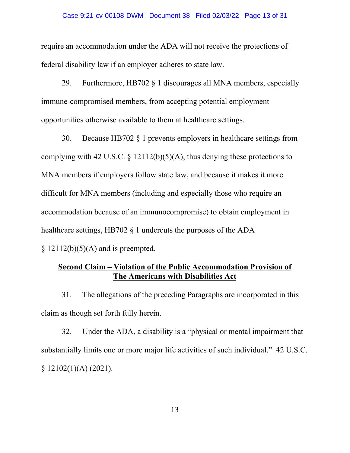#### Case 9:21-cv-00108-DWM Document 38 Filed 02/03/22 Page 13 of 31

require an accommodation under the ADA will not receive the protections of federal disability law if an employer adheres to state law.

29. Furthermore, HB702 § 1 discourages all MNA members, especially immune-compromised members, from accepting potential employment opportunities otherwise available to them at healthcare settings.

30. Because HB702 § 1 prevents employers in healthcare settings from complying with 42 U.S.C.  $\S$  12112(b)(5)(A), thus denying these protections to MNA members if employers follow state law, and because it makes it more difficult for MNA members (including and especially those who require an accommodation because of an immunocompromise) to obtain employment in healthcare settings, HB702  $\&$  1 undercuts the purposes of the ADA  $§ 12112(b)(5)(A)$  and is preempted.

## **Second Claim – Violation of the Public Accommodation Provision of The Americans with Disabilities Act**

31. The allegations of the preceding Paragraphs are incorporated in this claim as though set forth fully herein.

32. Under the ADA, a disability is a "physical or mental impairment that substantially limits one or more major life activities of such individual." 42 U.S.C.  $§ 12102(1)(A) (2021).$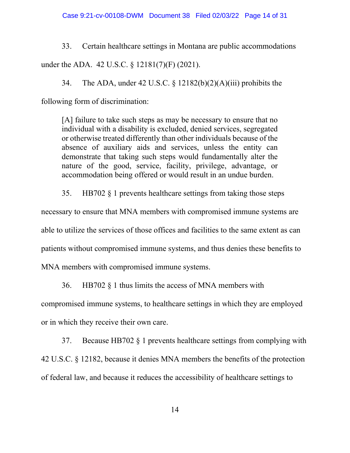33. Certain healthcare settings in Montana are public accommodations

under the ADA. 42 U.S.C. § 12181(7)(F) (2021).

34. The ADA, under 42 U.S.C.  $\S$  12182(b)(2)(A)(iii) prohibits the

following form of discrimination:

[A] failure to take such steps as may be necessary to ensure that no individual with a disability is excluded, denied services, segregated or otherwise treated differently than other individuals because of the absence of auxiliary aids and services, unless the entity can demonstrate that taking such steps would fundamentally alter the nature of the good, service, facility, privilege, advantage, or accommodation being offered or would result in an undue burden.

35. HB702 § 1 prevents healthcare settings from taking those steps

necessary to ensure that MNA members with compromised immune systems are able to utilize the services of those offices and facilities to the same extent as can patients without compromised immune systems, and thus denies these benefits to MNA members with compromised immune systems.

36. HB702 § 1 thus limits the access of MNA members with

compromised immune systems, to healthcare settings in which they are employed or in which they receive their own care.

37. Because HB702 § 1 prevents healthcare settings from complying with 42 U.S.C. § 12182, because it denies MNA members the benefits of the protection of federal law, and because it reduces the accessibility of healthcare settings to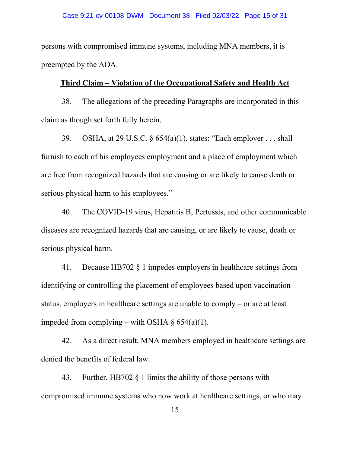persons with compromised immune systems, including MNA members, it is preempted by the ADA.

## **Third Claim – Violation of the Occupational Safety and Health Act**

38. The allegations of the preceding Paragraphs are incorporated in this claim as though set forth fully herein.

39. OSHA, at 29 U.S.C. § 654(a)(1), states: "Each employer . . . shall furnish to each of his employees employment and a place of employment which are free from recognized hazards that are causing or are likely to cause death or serious physical harm to his employees."

40. The COVID-19 virus, Hepatitis B, Pertussis, and other communicable diseases are recognized hazards that are causing, or are likely to cause, death or serious physical harm.

41. Because HB702 § 1 impedes employers in healthcare settings from identifying or controlling the placement of employees based upon vaccination status, employers in healthcare settings are unable to comply – or are at least impeded from complying – with OSHA  $\S$  654(a)(1).

42. As a direct result, MNA members employed in healthcare settings are denied the benefits of federal law.

43. Further, HB702 § 1 limits the ability of those persons with compromised immune systems who now work at healthcare settings, or who may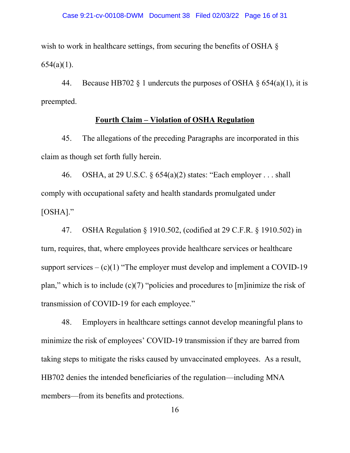wish to work in healthcare settings, from securing the benefits of OSHA  $\S$  $654(a)(1)$ .

44. Because HB702  $\&$  1 undercuts the purposes of OSHA  $\&$  654(a)(1), it is preempted.

#### **Fourth Claim – Violation of OSHA Regulation**

45. The allegations of the preceding Paragraphs are incorporated in this claim as though set forth fully herein.

46. OSHA, at 29 U.S.C. § 654(a)(2) states: "Each employer . . . shall comply with occupational safety and health standards promulgated under [OSHA]."

47. OSHA Regulation § 1910.502, (codified at 29 C.F.R. § 1910.502) in turn, requires, that, where employees provide healthcare services or healthcare support services  $-$  (c)(1) "The employer must develop and implement a COVID-19 plan," which is to include (c)(7) "policies and procedures to [m]inimize the risk of transmission of COVID-19 for each employee."

48. Employers in healthcare settings cannot develop meaningful plans to minimize the risk of employees' COVID-19 transmission if they are barred from taking steps to mitigate the risks caused by unvaccinated employees. As a result, HB702 denies the intended beneficiaries of the regulation—including MNA members—from its benefits and protections.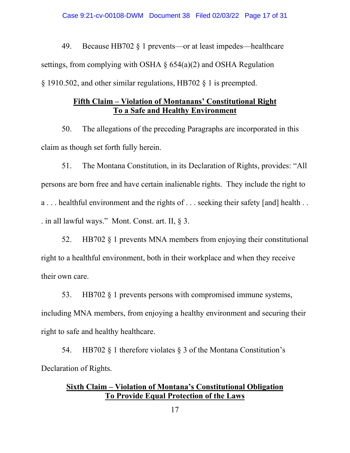49. Because HB702 § 1 prevents—or at least impedes—healthcare settings, from complying with OSHA § 654(a)(2) and OSHA Regulation § 1910.502, and other similar regulations, HB702 § 1 is preempted.

## **Fifth Claim – Violation of Montanans' Constitutional Right To a Safe and Healthy Environment**

50. The allegations of the preceding Paragraphs are incorporated in this claim as though set forth fully herein.

51. The Montana Constitution, in its Declaration of Rights, provides: "All persons are born free and have certain inalienable rights. They include the right to a . . . healthful environment and the rights of . . . seeking their safety [and] health . . . in all lawful ways." Mont. Const. art. II, § 3.

52. HB702 § 1 prevents MNA members from enjoying their constitutional right to a healthful environment, both in their workplace and when they receive their own care.

53. HB702 § 1 prevents persons with compromised immune systems, including MNA members, from enjoying a healthy environment and securing their right to safe and healthy healthcare.

54. HB702 § 1 therefore violates § 3 of the Montana Constitution's Declaration of Rights.

## **Sixth Claim – Violation of Montana's Constitutional Obligation To Provide Equal Protection of the Laws**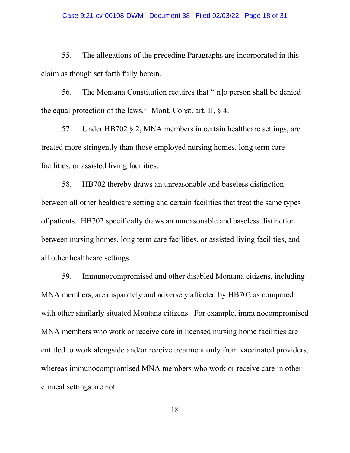55. The allegations of the preceding Paragraphs are incorporated in this claim as though set forth fully herein.

56. The Montana Constitution requires that "[n]o person shall be denied the equal protection of the laws." Mont. Const. art. II,  $\S$  4.

57. Under HB702 § 2, MNA members in certain healthcare settings, are treated more stringently than those employed nursing homes, long term care facilities, or assisted living facilities.

58. HB702 thereby draws an unreasonable and baseless distinction between all other healthcare setting and certain facilities that treat the same types of patients. HB702 specifically draws an unreasonable and baseless distinction between nursing homes, long term care facilities, or assisted living facilities, and all other healthcare settings.

59. Immunocompromised and other disabled Montana citizens, including MNA members, are disparately and adversely affected by HB702 as compared with other similarly situated Montana citizens. For example, immunocompromised MNA members who work or receive care in licensed nursing home facilities are entitled to work alongside and/or receive treatment only from vaccinated providers, whereas immunocompromised MNA members who work or receive care in other clinical settings are not.

18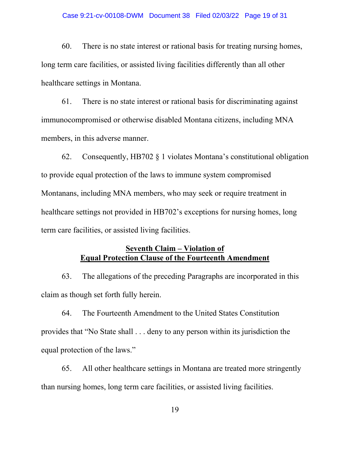#### Case 9:21-cv-00108-DWM Document 38 Filed 02/03/22 Page 19 of 31

60. There is no state interest or rational basis for treating nursing homes, long term care facilities, or assisted living facilities differently than all other healthcare settings in Montana.

61. There is no state interest or rational basis for discriminating against immunocompromised or otherwise disabled Montana citizens, including MNA members, in this adverse manner.

62. Consequently, HB702 § 1 violates Montana's constitutional obligation to provide equal protection of the laws to immune system compromised Montanans, including MNA members, who may seek or require treatment in healthcare settings not provided in HB702's exceptions for nursing homes, long term care facilities, or assisted living facilities.

## **Seventh Claim – Violation of Equal Protection Clause of the Fourteenth Amendment**

63. The allegations of the preceding Paragraphs are incorporated in this claim as though set forth fully herein.

64. The Fourteenth Amendment to the United States Constitution provides that "No State shall . . . deny to any person within its jurisdiction the equal protection of the laws."

65. All other healthcare settings in Montana are treated more stringently than nursing homes, long term care facilities, or assisted living facilities.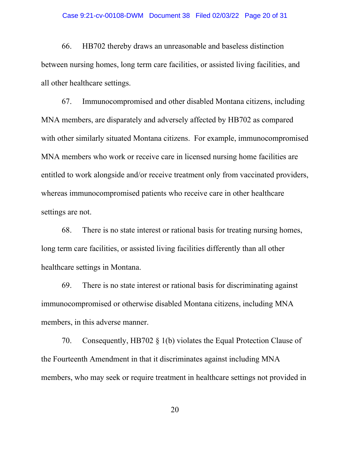#### Case 9:21-cv-00108-DWM Document 38 Filed 02/03/22 Page 20 of 31

66. HB702 thereby draws an unreasonable and baseless distinction between nursing homes, long term care facilities, or assisted living facilities, and all other healthcare settings.

67. Immunocompromised and other disabled Montana citizens, including MNA members, are disparately and adversely affected by HB702 as compared with other similarly situated Montana citizens. For example, immunocompromised MNA members who work or receive care in licensed nursing home facilities are entitled to work alongside and/or receive treatment only from vaccinated providers, whereas immunocompromised patients who receive care in other healthcare settings are not.

68. There is no state interest or rational basis for treating nursing homes, long term care facilities, or assisted living facilities differently than all other healthcare settings in Montana.

69. There is no state interest or rational basis for discriminating against immunocompromised or otherwise disabled Montana citizens, including MNA members, in this adverse manner.

70. Consequently, HB702 § 1(b) violates the Equal Protection Clause of the Fourteenth Amendment in that it discriminates against including MNA members, who may seek or require treatment in healthcare settings not provided in

20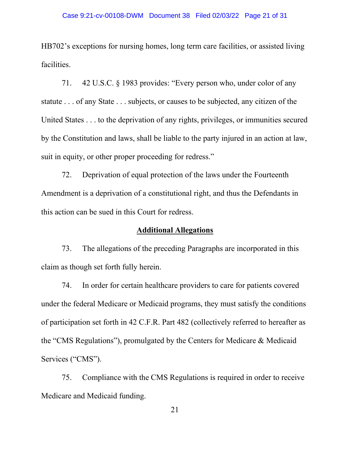#### Case 9:21-cv-00108-DWM Document 38 Filed 02/03/22 Page 21 of 31

HB702's exceptions for nursing homes, long term care facilities, or assisted living facilities.

71. 42 U.S.C. § 1983 provides: "Every person who, under color of any statute . . . of any State . . . subjects, or causes to be subjected, any citizen of the United States . . . to the deprivation of any rights, privileges, or immunities secured by the Constitution and laws, shall be liable to the party injured in an action at law, suit in equity, or other proper proceeding for redress."

72. Deprivation of equal protection of the laws under the Fourteenth Amendment is a deprivation of a constitutional right, and thus the Defendants in this action can be sued in this Court for redress.

## **Additional Allegations**

73. The allegations of the preceding Paragraphs are incorporated in this claim as though set forth fully herein.

74. In order for certain healthcare providers to care for patients covered under the federal Medicare or Medicaid programs, they must satisfy the conditions of participation set forth in 42 C.F.R. Part 482 (collectively referred to hereafter as the "CMS Regulations"), promulgated by the Centers for Medicare & Medicaid Services ("CMS").

75. Compliance with the CMS Regulations is required in order to receive Medicare and Medicaid funding.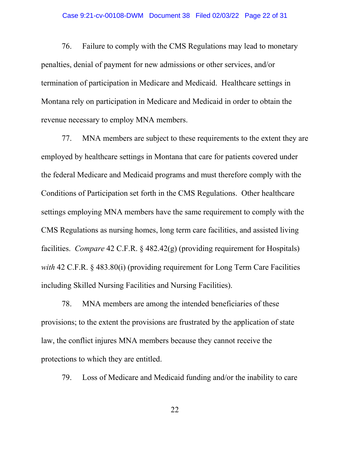#### Case 9:21-cv-00108-DWM Document 38 Filed 02/03/22 Page 22 of 31

76. Failure to comply with the CMS Regulations may lead to monetary penalties, denial of payment for new admissions or other services, and/or termination of participation in Medicare and Medicaid. Healthcare settings in Montana rely on participation in Medicare and Medicaid in order to obtain the revenue necessary to employ MNA members.

77. MNA members are subject to these requirements to the extent they are employed by healthcare settings in Montana that care for patients covered under the federal Medicare and Medicaid programs and must therefore comply with the Conditions of Participation set forth in the CMS Regulations. Other healthcare settings employing MNA members have the same requirement to comply with the CMS Regulations as nursing homes, long term care facilities, and assisted living facilities. *Compare* 42 C.F.R. § 482.42(g) (providing requirement for Hospitals) *with* 42 C.F.R. § 483.80(i) (providing requirement for Long Term Care Facilities including Skilled Nursing Facilities and Nursing Facilities).

78. MNA members are among the intended beneficiaries of these provisions; to the extent the provisions are frustrated by the application of state law, the conflict injures MNA members because they cannot receive the protections to which they are entitled.

79. Loss of Medicare and Medicaid funding and/or the inability to care

22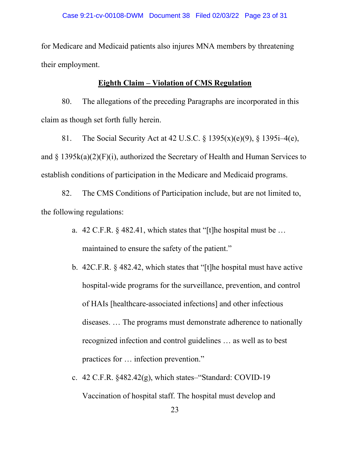for Medicare and Medicaid patients also injures MNA members by threatening their employment.

## **Eighth Claim – Violation of CMS Regulation**

80. The allegations of the preceding Paragraphs are incorporated in this claim as though set forth fully herein.

81. The Social Security Act at 42 U.S.C. § 1395(x)(e)(9), § 1395i–4(e), and  $\S$  1395k(a)(2)(F)(i), authorized the Secretary of Health and Human Services to establish conditions of participation in the Medicare and Medicaid programs.

82. The CMS Conditions of Participation include, but are not limited to, the following regulations:

- a. 42 C.F.R. § 482.41, which states that "[t]he hospital must be … maintained to ensure the safety of the patient."
- b. 42C.F.R. § 482.42, which states that "[t]he hospital must have active hospital-wide programs for the surveillance, prevention, and control of HAIs [healthcare-associated infections] and other infectious diseases. … The programs must demonstrate adherence to nationally recognized infection and control guidelines … as well as to best practices for … infection prevention."
- c. 42 C.F.R. §482.42(g), which states–"Standard: COVID-19 Vaccination of hospital staff. The hospital must develop and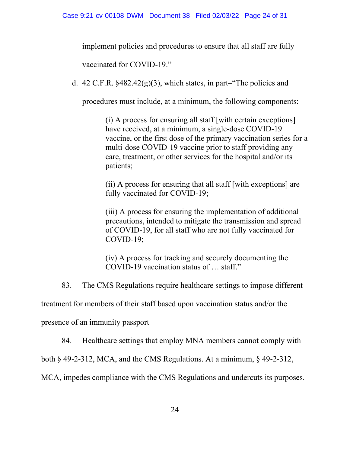implement policies and procedures to ensure that all staff are fully

vaccinated for COVID-19."

d. 42 C.F.R.  $§482.42(g)(3)$ , which states, in part–"The policies and

procedures must include, at a minimum, the following components:

(i) A process for ensuring all staff [with certain exceptions] have received, at a minimum, a single-dose COVID-19 vaccine, or the first dose of the primary vaccination series for a multi-dose COVID-19 vaccine prior to staff providing any care, treatment, or other services for the hospital and/or its patients;

(ii) A process for ensuring that all staff [with exceptions] are fully vaccinated for COVID-19;

(iii) A process for ensuring the implementation of additional precautions, intended to mitigate the transmission and spread of COVID-19, for all staff who are not fully vaccinated for COVID-19;

(iv) A process for tracking and securely documenting the COVID-19 vaccination status of … staff."

83. The CMS Regulations require healthcare settings to impose different

treatment for members of their staff based upon vaccination status and/or the

presence of an immunity passport

84. Healthcare settings that employ MNA members cannot comply with

both § 49-2-312, MCA, and the CMS Regulations. At a minimum, § 49-2-312,

MCA, impedes compliance with the CMS Regulations and undercuts its purposes.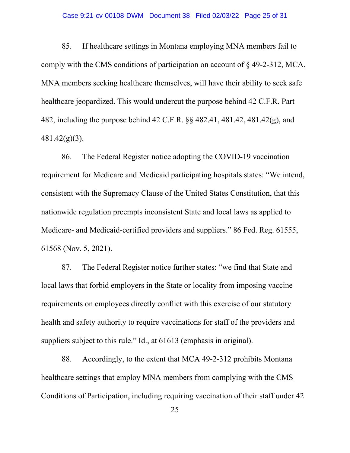#### Case 9:21-cv-00108-DWM Document 38 Filed 02/03/22 Page 25 of 31

85. If healthcare settings in Montana employing MNA members fail to comply with the CMS conditions of participation on account of § 49-2-312, MCA, MNA members seeking healthcare themselves, will have their ability to seek safe healthcare jeopardized. This would undercut the purpose behind 42 C.F.R. Part 482, including the purpose behind 42 C.F.R. §§ 482.41, 481.42, 481.42(g), and 481.42(g)(3).

86. The Federal Register notice adopting the COVID-19 vaccination requirement for Medicare and Medicaid participating hospitals states: "We intend, consistent with the Supremacy Clause of the United States Constitution, that this nationwide regulation preempts inconsistent State and local laws as applied to Medicare- and Medicaid-certified providers and suppliers." 86 Fed. Reg. 61555, 61568 (Nov. 5, 2021).

87. The Federal Register notice further states: "we find that State and local laws that forbid employers in the State or locality from imposing vaccine requirements on employees directly conflict with this exercise of our statutory health and safety authority to require vaccinations for staff of the providers and suppliers subject to this rule." Id., at 61613 (emphasis in original).

88. Accordingly, to the extent that MCA 49-2-312 prohibits Montana healthcare settings that employ MNA members from complying with the CMS Conditions of Participation, including requiring vaccination of their staff under 42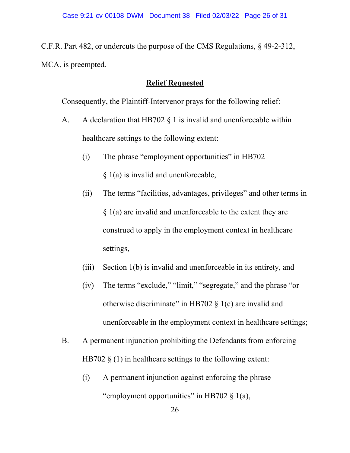C.F.R. Part 482, or undercuts the purpose of the CMS Regulations, § 49-2-312, MCA, is preempted.

## **Relief Requested**

Consequently, the Plaintiff-Intervenor prays for the following relief:

- A. A declaration that HB702  $\S$  1 is invalid and unenforceable within healthcare settings to the following extent:
	- (i) The phrase "employment opportunities" in HB702 § 1(a) is invalid and unenforceable,
	- (ii) The terms "facilities, advantages, privileges" and other terms in § 1(a) are invalid and unenforceable to the extent they are construed to apply in the employment context in healthcare settings,
	- (iii) Section 1(b) is invalid and unenforceable in its entirety, and
	- (iv) The terms "exclude," "limit," "segregate," and the phrase "or otherwise discriminate" in HB702  $\S$  1(c) are invalid and unenforceable in the employment context in healthcare settings;
- B. A permanent injunction prohibiting the Defendants from enforcing HB702  $\S$  (1) in healthcare settings to the following extent:
	- (i) A permanent injunction against enforcing the phrase "employment opportunities" in HB702  $\S$  1(a),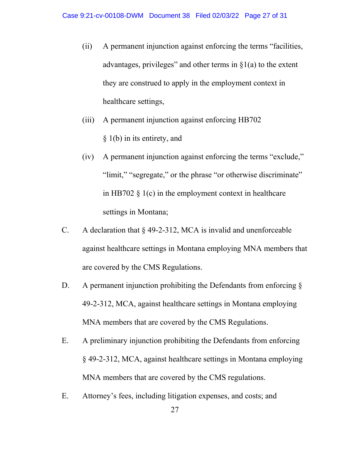- (ii) A permanent injunction against enforcing the terms "facilities, advantages, privileges" and other terms in  $\S1(a)$  to the extent they are construed to apply in the employment context in healthcare settings,
- (iii) A permanent injunction against enforcing HB702 § 1(b) in its entirety, and
- (iv) A permanent injunction against enforcing the terms "exclude," "limit," "segregate," or the phrase "or otherwise discriminate" in HB702  $\frac{1}{2}$  1(c) in the employment context in healthcare settings in Montana;
- C. A declaration that § 49-2-312, MCA is invalid and unenforceable against healthcare settings in Montana employing MNA members that are covered by the CMS Regulations.
- D. A permanent injunction prohibiting the Defendants from enforcing § 49-2-312, MCA, against healthcare settings in Montana employing MNA members that are covered by the CMS Regulations.
- E. A preliminary injunction prohibiting the Defendants from enforcing § 49-2-312, MCA, against healthcare settings in Montana employing MNA members that are covered by the CMS regulations.
- E. Attorney's fees, including litigation expenses, and costs; and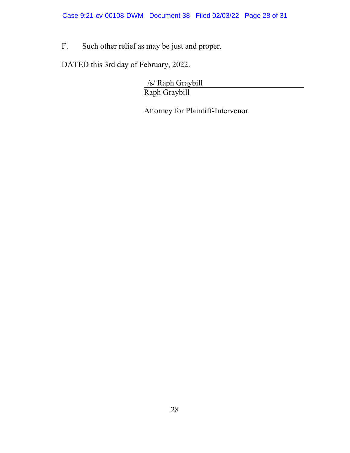Case 9:21-cv-00108-DWM Document 38 Filed 02/03/22 Page 28 of 31

F. Such other relief as may be just and proper.

DATED this 3rd day of February, 2022.

/s/ Raph Graybill Raph Graybill

Attorney for Plaintiff-Intervenor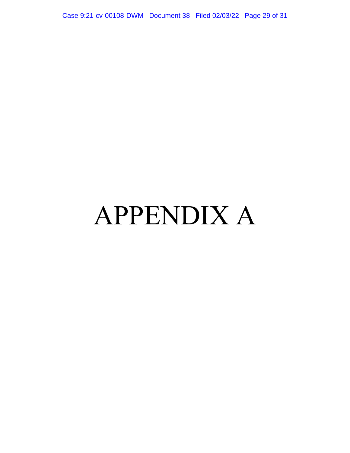Case 9:21-cv-00108-DWM Document 38 Filed 02/03/22 Page 29 of 31

# APPENDIX A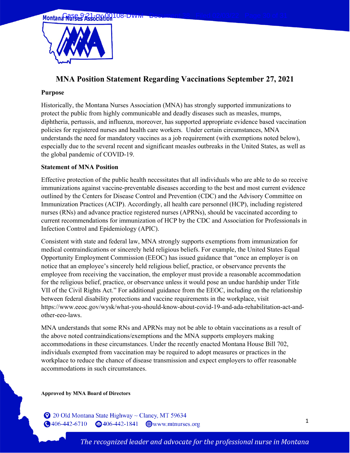

## **MNA Position Statement Regarding Vaccinations September 27, 2021**

#### **Purpose**

Historically, the Montana Nurses Association (MNA) has strongly supported immunizations to protect the public from highly communicable and deadly diseases such as measles, mumps, diphtheria, pertussis, and influenza, moreover, has supported appropriate evidence based vaccination policies for registered nurses and health care workers. Under certain circumstances, MNA understands the need for mandatory vaccines as a job requirement (with exemptions noted below), especially due to the several recent and significant measles outbreaks in the United States, as well as the global pandemic of COVID-19.

#### **Statement of MNA Position**

Effective protection of the public health necessitates that all individuals who are able to do so receive immunizations against vaccine-preventable diseases according to the best and most current evidence outlined by the Centers for Disease Control and Prevention (CDC) and the Advisory Committee on Immunization Practices (ACIP). Accordingly, all health care personnel (HCP), including registered nurses (RNs) and advance practice registered nurses (APRNs), should be vaccinated according to current recommendations for immunization of HCP by the CDC and Association for Professionals in Infection Control and Epidemiology (APIC).

Consistent with state and federal law, MNA strongly supports exemptions from immunization for medical contraindications or sincerely held religious beliefs. For example, the United States Equal Opportunity Employment Commission (EEOC) has issued guidance that "once an employer is on notice that an employee's sincerely held religious belief, practice, or observance prevents the employee from receiving the vaccination, the employer must provide a reasonable accommodation for the religious belief, practice, or observance unless it would pose an undue hardship under Title VII of the Civil Rights Act." For additional guidance from the EEOC, including on the relationship between federal disability protections and vaccine requirements in the workplace, visit https://www.eeoc.gov/wysk/what-you-should-know-about-covid-19-and-ada-rehabilitation-act-andother-eeo-laws.

MNA understands that some RNs and APRNs may not be able to obtain vaccinations as a result of the above noted contraindications/exemptions and the MNA supports employers making accommodations in these circumstances. Under the recently enacted Montana House Bill 702, individuals exempted from vaccination may be required to adopt measures or practices in the workplace to reduce the chance of disease transmission and expect employers to offer reasonable accommodations in such circumstances.

**Approved by MNA Board of Directors**

20 Old Montana State Highway ~ Clancy, MT 59634 **406-442-6710**  $\bigcirc$  406-442-1841 www.mtnurses.org

The recognized leader and advocate for the professional nurse in Montana